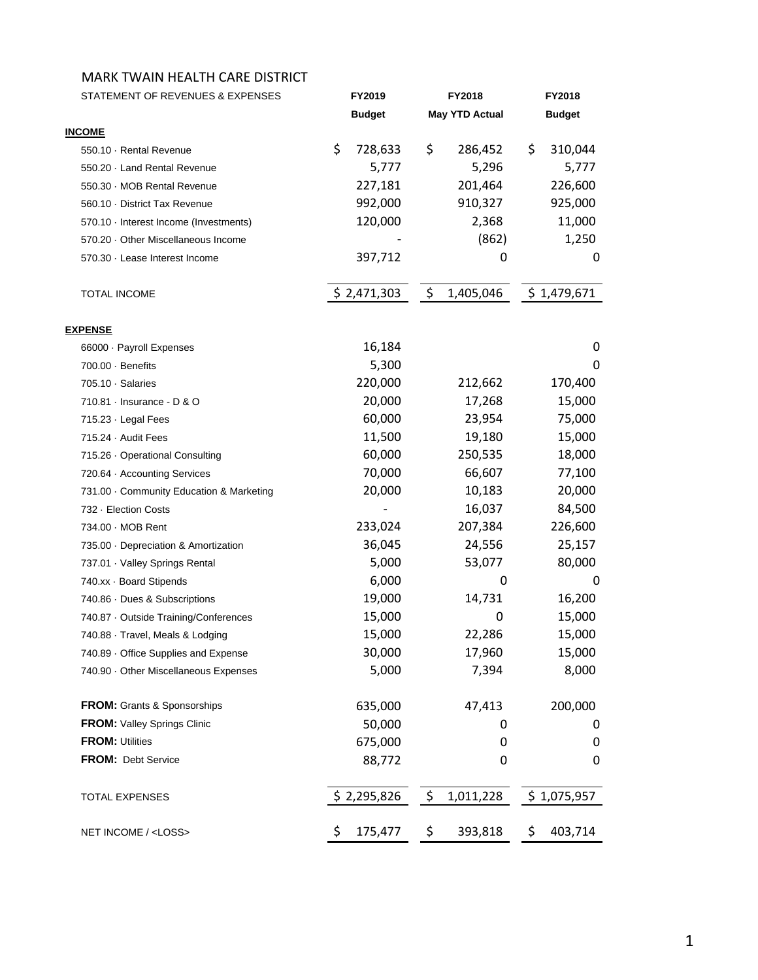| STATEMENT OF REVENUES & EXPENSES       | FY2019                   | <b>FY2018</b>                    | <b>FY2018</b> |
|----------------------------------------|--------------------------|----------------------------------|---------------|
|                                        | <b>Budget</b>            | <b>May YTD Actual</b>            | <b>Budget</b> |
| <b>INCOME</b>                          |                          |                                  |               |
| 550.10 Rental Revenue                  | \$<br>728,633            | \$<br>286,452                    | \$<br>310,044 |
| 550.20 · Land Rental Revenue           | 5,777                    | 5,296                            | 5,777         |
| 550.30 MOB Rental Revenue              | 227,181                  | 201,464                          | 226,600       |
| 560.10 District Tax Revenue            | 992,000                  | 910,327                          | 925,000       |
| 570.10 - Interest Income (Investments) | 120,000                  | 2,368                            | 11,000        |
| 570.20 Other Miscellaneous Income      |                          | (862)                            | 1,250         |
| 570.30 · Lease Interest Income         | 397,712                  | 0                                | 0             |
| TOTAL INCOME                           | \$2,471,303              | $\ddot{\mathsf{S}}$<br>1,405,046 | \$1,479,671   |
| <b>EXPENSE</b>                         |                          |                                  |               |
| 66000 · Payroll Expenses               | 16,184                   |                                  | 0             |
| 700.00 · Benefits                      | 5,300                    |                                  | 0             |
| 705.10 Salaries                        | 220,000                  | 212,662                          | 170,400       |
| 710.81 Insurance - D & O               | 20,000                   | 17,268                           | 15,000        |
| 715.23 · Legal Fees                    | 60,000                   | 23,954                           | 75,000        |
| 715.24 Audit Fees                      | 11,500                   | 19,180                           | 15,000        |
| 715.26 Operational Consulting          | 60,000                   | 250,535                          | 18,000        |
| 720.64 Accounting Services             | 70,000                   | 66,607                           | 77,100        |
| 731.00 Community Education & Marketing | 20,000                   | 10,183                           | 20,000        |
| 732 - Election Costs                   | $\overline{\phantom{a}}$ | 16,037                           | 84,500        |
| 734.00 MOB Rent                        | 233,024                  | 207,384                          | 226,600       |
| 735.00 Depreciation & Amortization     | 36,045                   | 24,556                           | 25,157        |
| 737.01 Valley Springs Rental           | 5,000                    | 53,077                           | 80,000        |
| 740.xx · Board Stipends                | 6,000                    | 0                                | 0             |
| 740.86 Dues & Subscriptions            | 19,000                   | 14,731                           | 16,200        |
| 740.87 Outside Training/Conferences    | 15,000                   | 0                                | 15,000        |
| 740.88 Travel, Meals & Lodging         | 15,000                   | 22,286                           | 15,000        |
| 740.89 Office Supplies and Expense     | 30,000                   | 17,960                           | 15,000        |
| 740.90 Other Miscellaneous Expenses    | 5,000                    | 7,394                            | 8,000         |
| <b>FROM:</b> Grants & Sponsorships     | 635,000                  | 47,413                           | 200,000       |
| FROM: Valley Springs Clinic            | 50,000                   | 0                                | 0             |
| <b>FROM: Utilities</b>                 | 675,000                  | 0                                | 0             |
| FROM: Debt Service                     | 88,772                   | 0                                | 0             |
| <b>TOTAL EXPENSES</b>                  | \$2,295,826              | \$<br>1,011,228                  | \$1,075,957   |
| NET INCOME / <loss></loss>             | 175,477<br>\$            | \$<br>393,818                    | 403,714<br>\$ |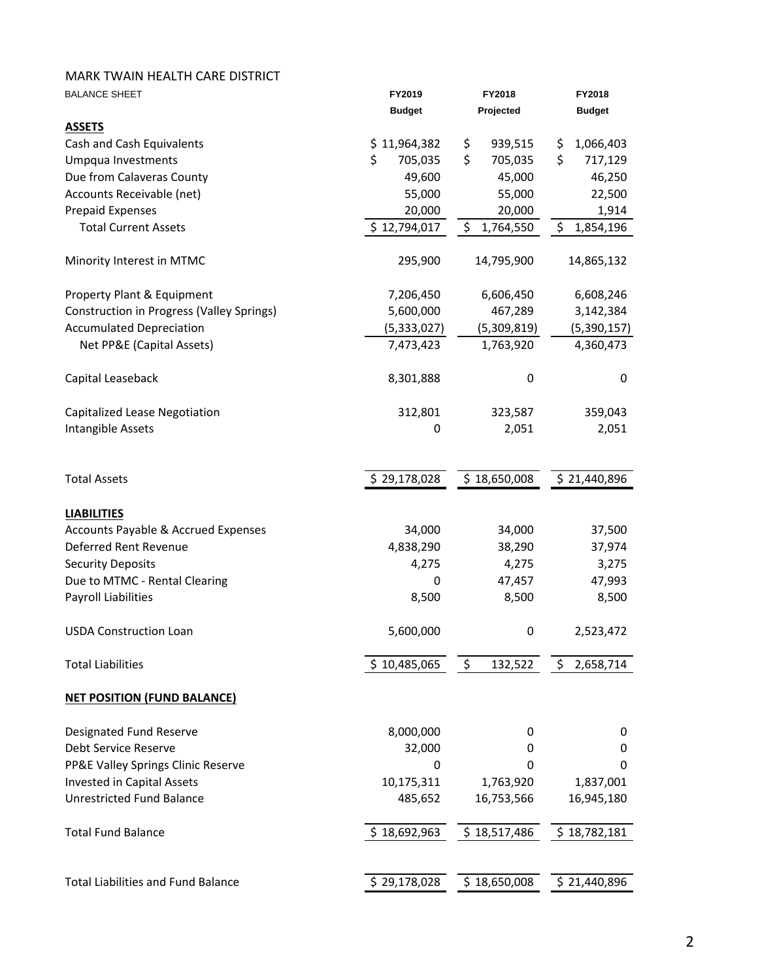| <b>BALANCE SHEET</b>                             | FY2019        | FY2018          | FY2018          |
|--------------------------------------------------|---------------|-----------------|-----------------|
|                                                  | <b>Budget</b> | Projected       | <b>Budget</b>   |
| <b>ASSETS</b>                                    |               |                 |                 |
| Cash and Cash Equivalents                        | \$11,964,382  | 939,515<br>\$   | 1,066,403<br>\$ |
| Umpqua Investments                               | 705,035<br>\$ | \$<br>705,035   | \$<br>717,129   |
| Due from Calaveras County                        | 49,600        | 45,000          | 46,250          |
| Accounts Receivable (net)                        | 55,000        | 55,000          | 22,500          |
| <b>Prepaid Expenses</b>                          | 20,000        | 20,000          | 1,914           |
| <b>Total Current Assets</b>                      | \$12,794,017  | \$<br>1,764,550 | \$<br>1,854,196 |
| Minority Interest in MTMC                        | 295,900       | 14,795,900      | 14,865,132      |
| Property Plant & Equipment                       | 7,206,450     | 6,606,450       | 6,608,246       |
| <b>Construction in Progress (Valley Springs)</b> | 5,600,000     | 467,289         | 3,142,384       |
| <b>Accumulated Depreciation</b>                  | (5,333,027)   | (5,309,819)     | (5,390,157)     |
| Net PP&E (Capital Assets)                        | 7,473,423     | 1,763,920       | 4,360,473       |
| Capital Leaseback                                | 8,301,888     | 0               | 0               |
| Capitalized Lease Negotiation                    | 312,801       | 323,587         | 359,043         |
| Intangible Assets                                | 0             | 2,051           | 2,051           |
| <b>Total Assets</b>                              | \$29,178,028  | \$18,650,008    | \$21,440,896    |
| <b>LIABILITIES</b>                               |               |                 |                 |
| Accounts Payable & Accrued Expenses              | 34,000        | 34,000          | 37,500          |
| Deferred Rent Revenue                            | 4,838,290     | 38,290          | 37,974          |
| <b>Security Deposits</b>                         | 4,275         | 4,275           | 3,275           |
| Due to MTMC - Rental Clearing                    | 0             | 47,457          | 47,993          |
| <b>Payroll Liabilities</b>                       | 8,500         | 8,500           | 8,500           |
| <b>USDA Construction Loan</b>                    | 5,600,000     | 0               | 2,523,472       |
| <b>Total Liabilities</b>                         | \$10,485,065  | \$<br>132,522   | \$<br>2,658,714 |
| <b>NET POSITION (FUND BALANCE)</b>               |               |                 |                 |
| Designated Fund Reserve                          | 8,000,000     | 0               | 0               |
| Debt Service Reserve                             | 32,000        | 0               | 0               |
| PP&E Valley Springs Clinic Reserve               | 0             | 0               | 0               |
| <b>Invested in Capital Assets</b>                | 10,175,311    | 1,763,920       | 1,837,001       |
| <b>Unrestricted Fund Balance</b>                 | 485,652       | 16,753,566      | 16,945,180      |
| <b>Total Fund Balance</b>                        | \$18,692,963  | \$18,517,486    | \$18,782,181    |
|                                                  |               |                 |                 |
| <b>Total Liabilities and Fund Balance</b>        | \$29,178,028  | \$18,650,008    | \$21,440,896    |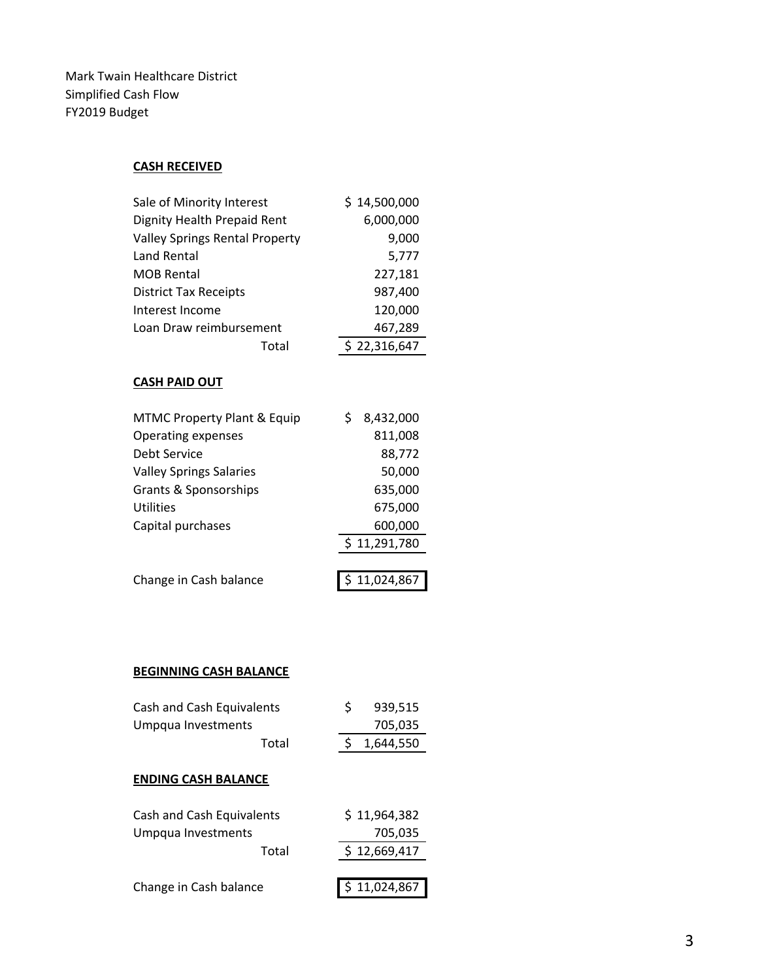Mark Twain Healthcare District Simplified Cash Flow FY2019 Budget

# **CASH RECEIVED**

| Sale of Minority Interest             |       | \$14,500,000 |
|---------------------------------------|-------|--------------|
| Dignity Health Prepaid Rent           |       | 6,000,000    |
| <b>Valley Springs Rental Property</b> |       | 9,000        |
| Land Rental                           |       | 5,777        |
| <b>MOB Rental</b>                     |       | 227,181      |
| <b>District Tax Receipts</b>          |       | 987,400      |
| Interest Income                       |       | 120,000      |
| Loan Draw reimbursement               |       | 467,289      |
|                                       | Total | \$22,316,647 |

#### **CASH PAID OUT**

| <b>MTMC Property Plant &amp; Equip</b> | 8,432,000    |
|----------------------------------------|--------------|
| Operating expenses                     | 811,008      |
| Debt Service                           | 88,772       |
| <b>Valley Springs Salaries</b>         | 50,000       |
| Grants & Sponsorships                  | 635,000      |
| Utilities                              | 675,000      |
| Capital purchases                      | 600,000      |
|                                        | \$11,291,780 |
|                                        |              |
| Change in Cash balance                 | 11,024,867   |

# **BEGINNING CASH BALANCE**

| Cash and Cash Equivalents<br>Umpqua Investments | S | 939,515<br>705,035 |
|-------------------------------------------------|---|--------------------|
| Total                                           | Ś | 1,644,550          |
| <b>ENDING CASH BALANCE</b>                      |   |                    |
| Cash and Cash Equivalents                       |   | \$11,964,382       |
| Umpqua Investments                              |   | 705,035            |
| Total                                           |   | \$12,669,417       |
|                                                 |   |                    |
| Change in Cash balance                          |   | 11,024,867         |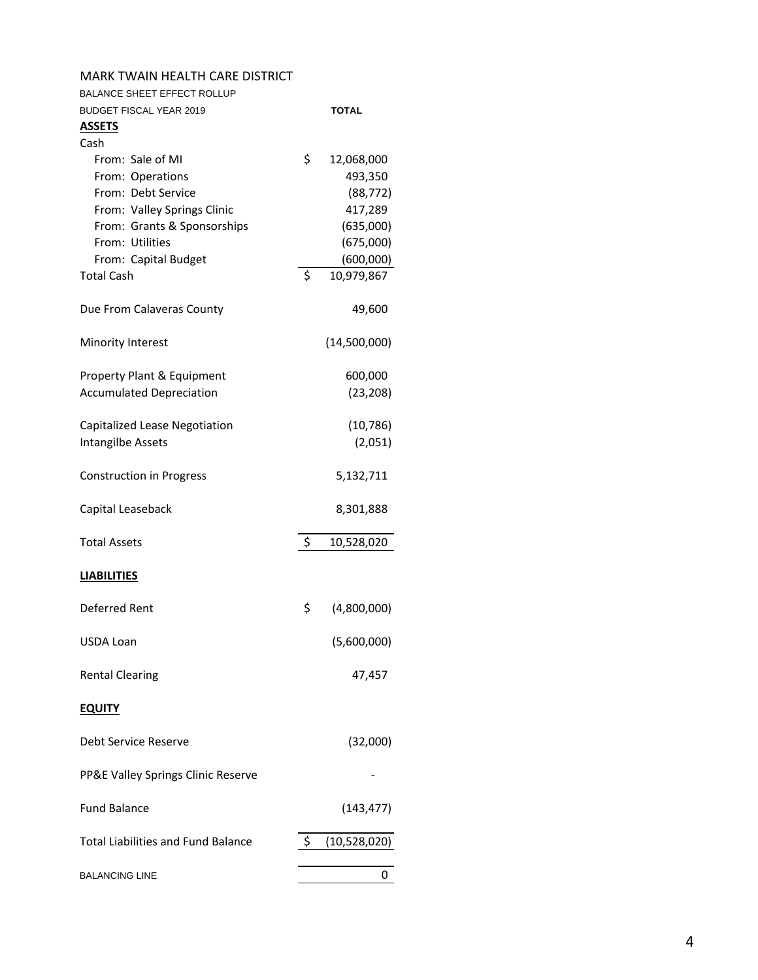| MARK TWAIN HEALTH CARE DISTRICT           |                    |              |
|-------------------------------------------|--------------------|--------------|
| <b>BALANCE SHEET EFFECT ROLLUP</b>        |                    |              |
| <b>BUDGET FISCAL YEAR 2019</b>            |                    | <b>TOTAL</b> |
| <u>ASSETS</u>                             |                    |              |
| Cash                                      |                    |              |
| From: Sale of MI                          | \$                 | 12,068,000   |
| From: Operations                          |                    | 493,350      |
| From: Debt Service                        |                    | (88, 772)    |
| From: Valley Springs Clinic               |                    | 417,289      |
| From: Grants & Sponsorships               |                    | (635,000)    |
| From: Utilities                           |                    | (675,000)    |
| From: Capital Budget                      |                    | (600,000)    |
|                                           | \$                 |              |
| <b>Total Cash</b>                         |                    | 10,979,867   |
| Due From Calaveras County                 |                    | 49,600       |
| Minority Interest                         |                    | (14,500,000) |
| Property Plant & Equipment                |                    | 600,000      |
| <b>Accumulated Depreciation</b>           |                    | (23, 208)    |
|                                           |                    |              |
| Capitalized Lease Negotiation             |                    | (10, 786)    |
|                                           |                    |              |
| Intangilbe Assets                         |                    | (2,051)      |
| <b>Construction in Progress</b>           |                    | 5,132,711    |
| Capital Leaseback                         |                    | 8,301,888    |
| <b>Total Assets</b>                       | $\ddot{\varsigma}$ | 10,528,020   |
| <b>LIABILITIES</b>                        |                    |              |
| Deferred Rent                             | \$                 | (4,800,000)  |
| USDA Loan                                 |                    | (5,600,000)  |
| <b>Rental Clearing</b>                    |                    | 47,457       |
| <b>EQUITY</b>                             |                    |              |
| Debt Service Reserve                      |                    | (32,000)     |
| PP&E Valley Springs Clinic Reserve        |                    |              |
| <b>Fund Balance</b>                       |                    | (143, 477)   |
| <b>Total Liabilities and Fund Balance</b> | \$                 | (10,528,020) |
|                                           |                    |              |
| <b>BALANCING LINE</b>                     |                    | U            |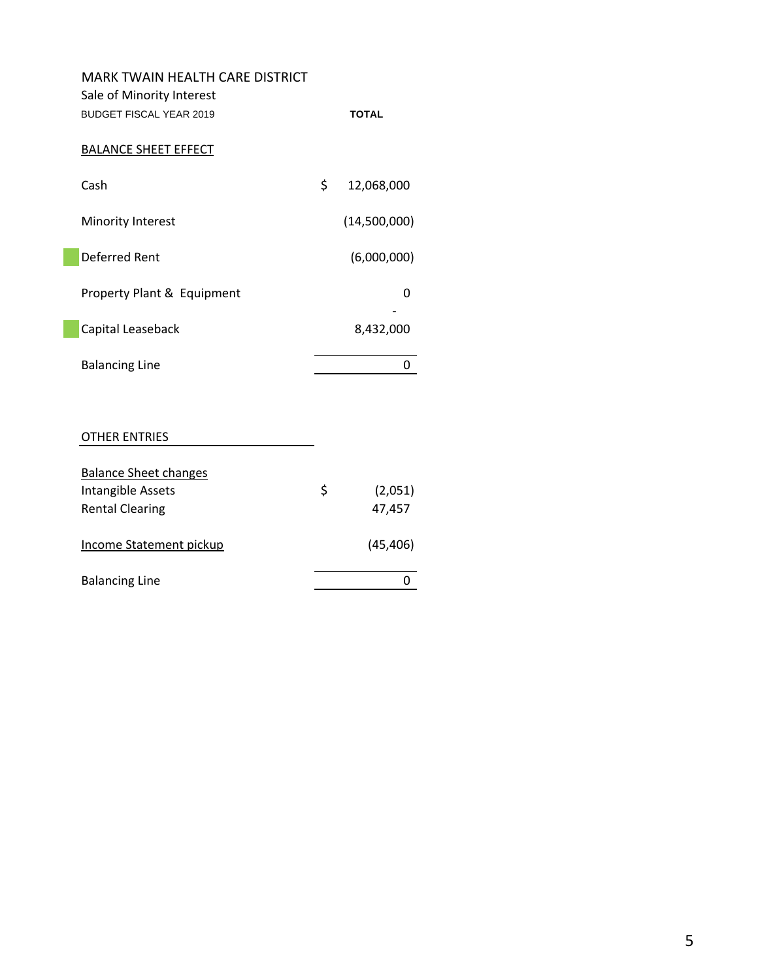| <b>MARK TWAIN HEALTH CARE DISTRICT</b><br>Sale of Minority Interest<br><b>BUDGET FISCAL YEAR 2019</b> | <b>TOTAL</b>     |
|-------------------------------------------------------------------------------------------------------|------------------|
| <b>BALANCE SHEET EFFECT</b>                                                                           |                  |
| Cash                                                                                                  | \$<br>12,068,000 |
| Minority Interest                                                                                     | (14,500,000)     |
| Deferred Rent                                                                                         | (6,000,000)      |
| Property Plant & Equipment                                                                            | O                |
| Capital Leaseback                                                                                     | 8,432,000        |
| <b>Balancing Line</b>                                                                                 |                  |
|                                                                                                       |                  |

#### OTHER ENTRIES

| <b>Balance Sheet changes</b> |               |
|------------------------------|---------------|
| Intangible Assets            | \$<br>(2,051) |
| <b>Rental Clearing</b>       | 47,457        |
| Income Statement pickup      | (45, 406)     |
| <b>Balancing Line</b>        |               |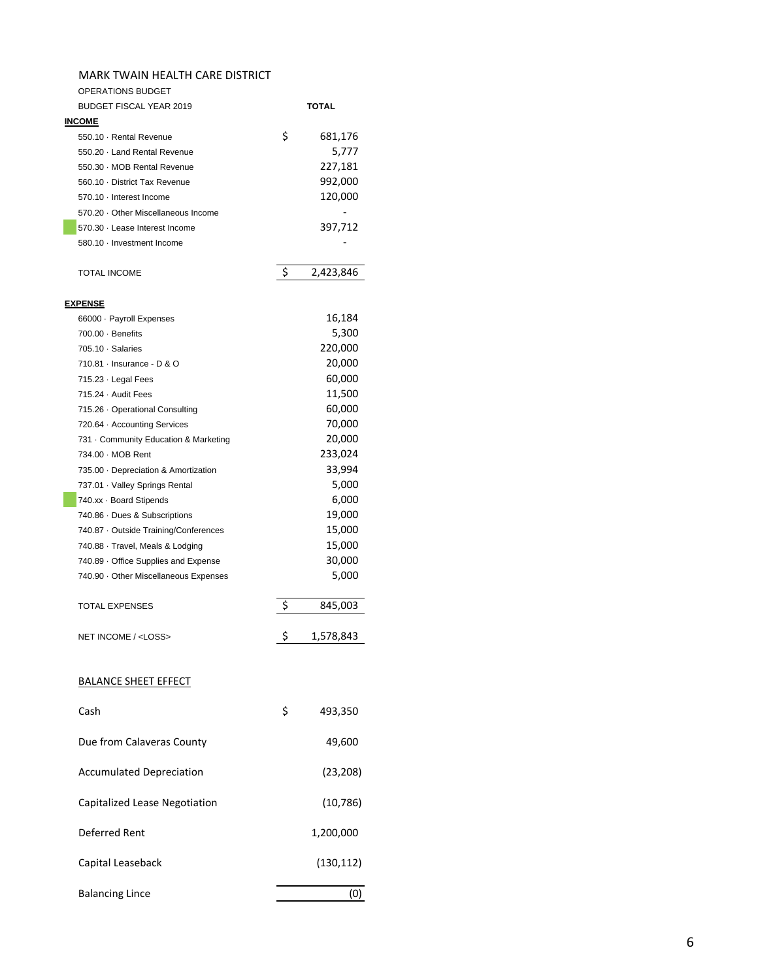| OPERATIONS BUDGET                     |    |           |
|---------------------------------------|----|-----------|
| <b>BUDGET FISCAL YEAR 2019</b>        |    | TOTAL     |
| <b>INCOME</b>                         |    |           |
| 550.10 · Rental Revenue               | \$ | 681,176   |
| 550.20 · Land Rental Revenue          |    | 5,777     |
| 550.30 · MOB Rental Revenue           |    | 227,181   |
| 560.10 · District Tax Revenue         |    | 992,000   |
| 570.10 · Interest Income              |    | 120,000   |
| 570.20 Other Miscellaneous Income     |    |           |
| 570.30 · Lease Interest Income        |    | 397,712   |
| 580.10 · Investment Income            |    |           |
|                                       |    |           |
| <b>TOTAL INCOME</b>                   | \$ | 2,423,846 |
|                                       |    |           |
| <u>EXPENSE</u>                        |    |           |
| 66000 · Payroll Expenses              |    | 16,184    |
| $700.00 \cdot$ Benefits               |    | 5,300     |
| 705.10 · Salaries                     |    | 220,000   |
| 710.81 - Insurance - D & O            |    | 20,000    |
| 715.23 · Legal Fees                   |    | 60,000    |
| 715.24 · Audit Fees                   |    | 11,500    |
| 715.26 Operational Consulting         |    | 60,000    |
| 720.64 · Accounting Services          |    | 70,000    |
| 731 · Community Education & Marketing |    | 20,000    |
| 734.00 - MOB Rent                     |    | 233,024   |
|                                       |    | 33,994    |
| 735.00 · Depreciation & Amortization  |    |           |
| 737.01 · Valley Springs Rental        |    | 5,000     |
| 740.xx · Board Stipends               |    | 6,000     |
| 740.86 Dues & Subscriptions           |    | 19,000    |
| 740.87 · Outside Training/Conferences |    | 15,000    |
| 740.88 · Travel, Meals & Lodging      |    | 15,000    |
| 740.89 Office Supplies and Expense    |    | 30,000    |
| 740.90 Other Miscellaneous Expenses   |    | 5,000     |
|                                       |    |           |
| <b>TOTAL EXPENSES</b>                 | \$ | 845,003   |
|                                       |    |           |
| NET INCOME / <loss></loss>            | Ş  | 1,578,843 |
|                                       |    |           |
|                                       |    |           |
| <b>BALANCE SHEET EFFECT</b>           |    |           |
|                                       |    |           |
| Cash                                  | \$ | 493,350   |
|                                       |    |           |
| Due from Calaveras County             |    | 49,600    |
|                                       |    |           |
| <b>Accumulated Depreciation</b>       |    | (23, 208) |
|                                       |    |           |
| Capitalized Lease Negotiation         |    | (10, 786) |
|                                       |    |           |

Deferred Rent 1,200,000

Capital Leaseback (130,112)

Balancing Lince (0)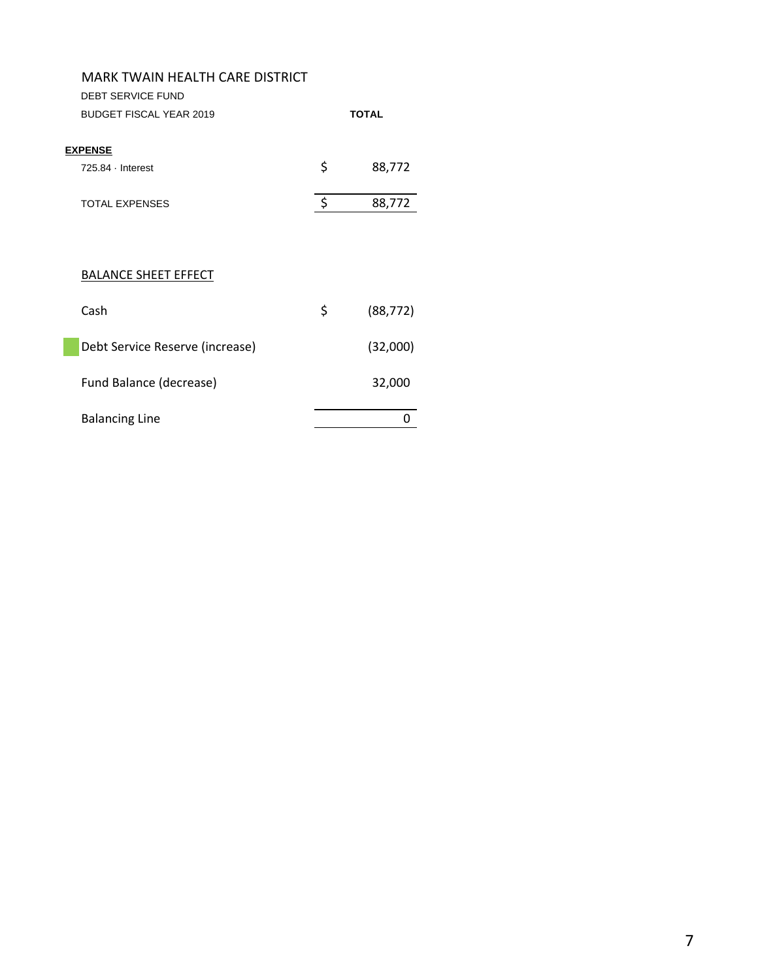| MARK TWAIN HEALTH CARE DISTRICT |                    |              |
|---------------------------------|--------------------|--------------|
| <b>DEBT SERVICE FUND</b>        |                    |              |
| <b>BUDGET FISCAL YEAR 2019</b>  |                    | <b>TOTAL</b> |
|                                 |                    |              |
| <b>EXPENSE</b>                  |                    |              |
| 725.84 - Interest               | \$                 | 88,772       |
| <b>TOTAL EXPENSES</b>           | $\ddot{\varsigma}$ | 88,772       |
|                                 |                    |              |
|                                 |                    |              |
|                                 |                    |              |
| <b>BALANCE SHEET EFFECT</b>     |                    |              |
|                                 |                    |              |
| Cash                            | \$                 | (88, 772)    |
|                                 |                    |              |
| Debt Service Reserve (increase) |                    | (32,000)     |
|                                 |                    |              |
| Fund Balance (decrease)         |                    | 32,000       |
| <b>Balancing Line</b>           |                    | 0            |
|                                 |                    |              |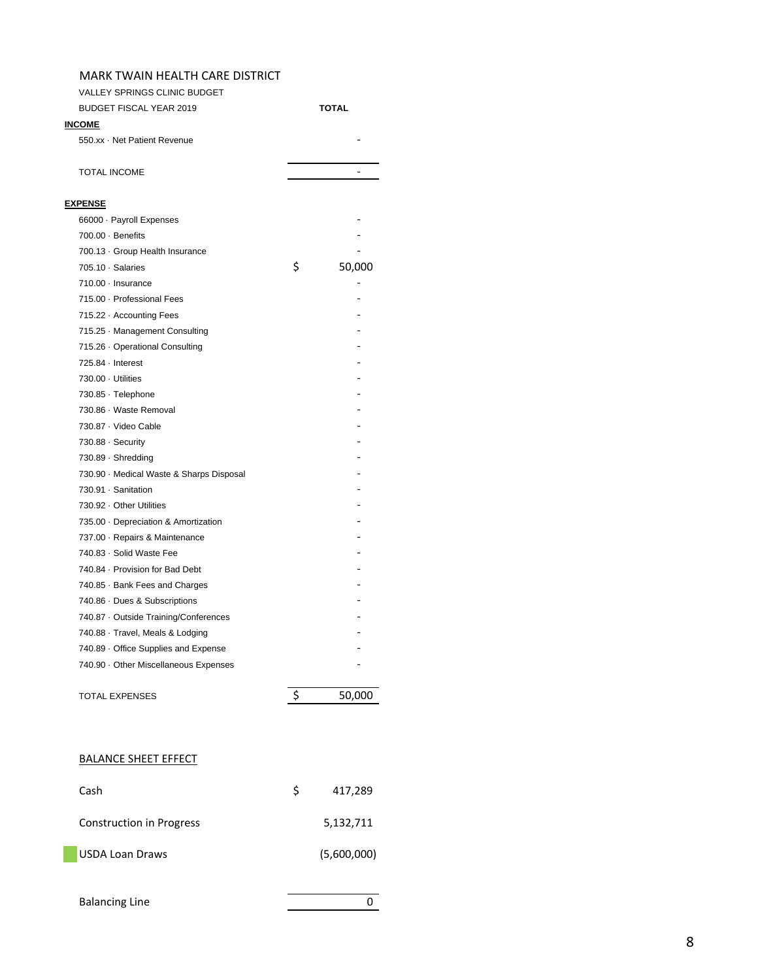| <b>VALLEY SPRINGS CLINIC BUDGET</b>      |              |        |
|------------------------------------------|--------------|--------|
| <b>BUDGET FISCAL YEAR 2019</b>           | <b>TOTAL</b> |        |
| <b>INCOME</b>                            |              |        |
| 550.xx · Net Patient Revenue             |              |        |
| <b>TOTAL INCOME</b>                      |              |        |
| <b>EXPENSE</b>                           |              |        |
| 66000 · Payroll Expenses                 |              |        |
| $700.00 \cdot$ Benefits                  |              |        |
| 700.13 · Group Health Insurance          |              |        |
| $705.10 \cdot$ Salaries                  | \$           | 50,000 |
| $710.00 \cdot$ Insurance                 |              |        |
| 715.00 · Professional Fees               |              |        |
| 715.22 - Accounting Fees                 |              |        |
| 715.25 Management Consulting             |              |        |
| 715.26 Operational Consulting            |              |        |
| $725.84 \cdot$ Interest                  |              |        |
| 730.00 · Utilities                       |              |        |
| 730.85 · Telephone                       |              |        |
| 730.86 · Waste Removal                   |              |        |
| 730.87 · Video Cable                     |              |        |
| 730.88 · Security                        |              |        |
| 730.89 · Shredding                       |              |        |
| 730.90 · Medical Waste & Sharps Disposal |              |        |
| 730.91 · Sanitation                      |              |        |
| 730.92 · Other Utilities                 |              |        |
| 735.00 · Depreciation & Amortization     |              |        |
| 737.00 · Repairs & Maintenance           |              |        |
| 740.83 · Solid Waste Fee                 |              |        |
| 740.84 · Provision for Bad Debt          |              |        |
| 740.85 · Bank Fees and Charges           |              |        |
| 740.86 Dues & Subscriptions              |              |        |
| 740.87 Outside Training/Conferences      |              |        |
| 740.88 · Travel, Meals & Lodging         |              |        |
| 740.89 Office Supplies and Expense       |              |        |
| 740.90 Other Miscellaneous Expenses      |              |        |
| <b>TOTAL EXPENSES</b>                    | \$           | 50,000 |

#### BALANCE SHEET EFFECT

| Cash                     | S | 417,289     |
|--------------------------|---|-------------|
| Construction in Progress |   | 5,132,711   |
| <b>USDA Loan Draws</b>   |   | (5,600,000) |
|                          |   |             |

Balancing Line 0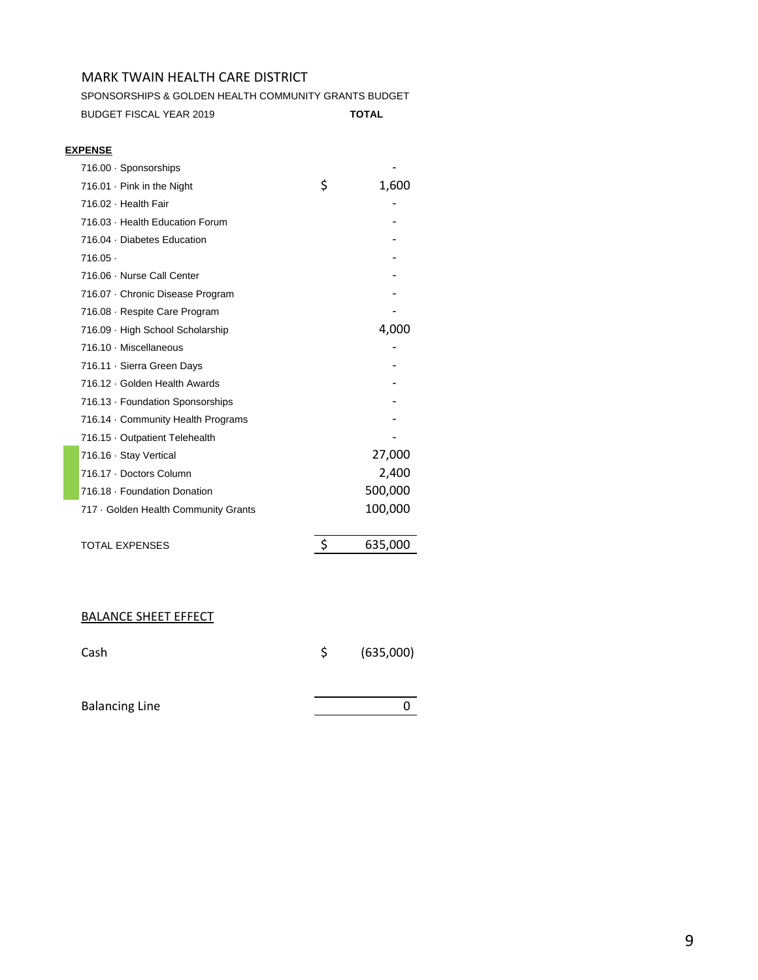SPONSORSHIPS & GOLDEN HEALTH COMMUNITY GRANTS BUDGET BUDGET FISCAL YEAR 2019 **TOTAL**

#### **EXPENSE**

| \$<br>1,600<br>716.01 Pink in the Night<br>716.02 · Health Fair<br>716.03 Health Education Forum<br>716.04 Diabetes Education<br>716.05.<br>716.06 Nurse Call Center<br>716.07 Chronic Disease Program<br>716.08 Respite Care Program<br>4,000<br>716.09 High School Scholarship<br>716.10 · Miscellaneous<br>716.11 Sierra Green Days<br>716.12 Golden Health Awards<br>716.13 Foundation Sponsorships<br>716.14 Community Health Programs<br>716.15 Outpatient Telehealth<br>27,000<br>716.16 · Stay Vertical<br>2,400<br>716.17 Doctors Column<br>500,000<br>716.18 · Foundation Donation<br>100,000<br>717 · Golden Health Community Grants | 716.00 · Sponsorships |  |
|-------------------------------------------------------------------------------------------------------------------------------------------------------------------------------------------------------------------------------------------------------------------------------------------------------------------------------------------------------------------------------------------------------------------------------------------------------------------------------------------------------------------------------------------------------------------------------------------------------------------------------------------------|-----------------------|--|
|                                                                                                                                                                                                                                                                                                                                                                                                                                                                                                                                                                                                                                                 |                       |  |
|                                                                                                                                                                                                                                                                                                                                                                                                                                                                                                                                                                                                                                                 |                       |  |
|                                                                                                                                                                                                                                                                                                                                                                                                                                                                                                                                                                                                                                                 |                       |  |
|                                                                                                                                                                                                                                                                                                                                                                                                                                                                                                                                                                                                                                                 |                       |  |
|                                                                                                                                                                                                                                                                                                                                                                                                                                                                                                                                                                                                                                                 |                       |  |
|                                                                                                                                                                                                                                                                                                                                                                                                                                                                                                                                                                                                                                                 |                       |  |
|                                                                                                                                                                                                                                                                                                                                                                                                                                                                                                                                                                                                                                                 |                       |  |
|                                                                                                                                                                                                                                                                                                                                                                                                                                                                                                                                                                                                                                                 |                       |  |
|                                                                                                                                                                                                                                                                                                                                                                                                                                                                                                                                                                                                                                                 |                       |  |
|                                                                                                                                                                                                                                                                                                                                                                                                                                                                                                                                                                                                                                                 |                       |  |
|                                                                                                                                                                                                                                                                                                                                                                                                                                                                                                                                                                                                                                                 |                       |  |
|                                                                                                                                                                                                                                                                                                                                                                                                                                                                                                                                                                                                                                                 |                       |  |
|                                                                                                                                                                                                                                                                                                                                                                                                                                                                                                                                                                                                                                                 |                       |  |
|                                                                                                                                                                                                                                                                                                                                                                                                                                                                                                                                                                                                                                                 |                       |  |
|                                                                                                                                                                                                                                                                                                                                                                                                                                                                                                                                                                                                                                                 |                       |  |
|                                                                                                                                                                                                                                                                                                                                                                                                                                                                                                                                                                                                                                                 |                       |  |
|                                                                                                                                                                                                                                                                                                                                                                                                                                                                                                                                                                                                                                                 |                       |  |
|                                                                                                                                                                                                                                                                                                                                                                                                                                                                                                                                                                                                                                                 |                       |  |
|                                                                                                                                                                                                                                                                                                                                                                                                                                                                                                                                                                                                                                                 |                       |  |
|                                                                                                                                                                                                                                                                                                                                                                                                                                                                                                                                                                                                                                                 |                       |  |

| <b>TOTAL EXPENSES</b> | 635,000 |
|-----------------------|---------|
|                       |         |

# BALANCE SHEET EFFECT

| Cash                  | (635,000) |
|-----------------------|-----------|
|                       |           |
| <b>Balancing Line</b> |           |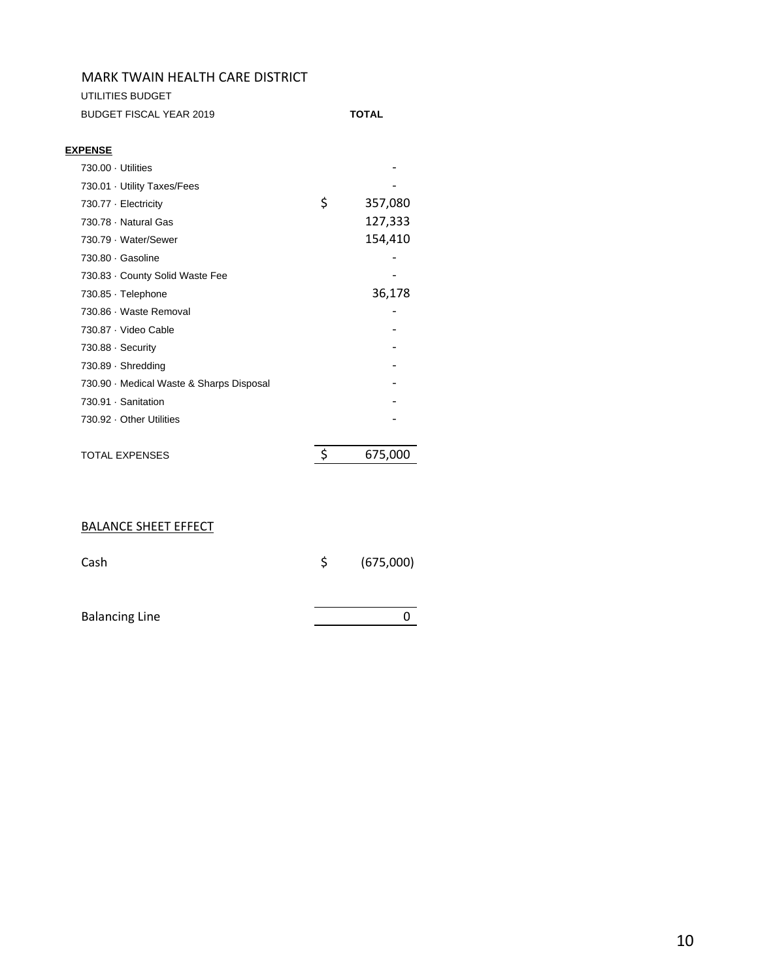UTILITIES BUDGET

| BUDGET FISCAL YEAR 2019 | TOTAL |
|-------------------------|-------|
|                         |       |

#### **EXPENSE**

| 730.00 Utilities                       |               |
|----------------------------------------|---------------|
| 730.01 Utility Taxes/Fees              |               |
| 730.77 Electricity                     | \$<br>357,080 |
| 730.78 Natural Gas                     | 127,333       |
| 730.79 Water/Sewer                     | 154,410       |
| 730.80 Gasoline                        |               |
| 730.83 County Solid Waste Fee          |               |
| 730.85 Telephone                       | 36,178        |
| 730.86 · Waste Removal                 |               |
| 730.87 · Video Cable                   |               |
| $730.88 \cdot$ Security                |               |
| 730.89 Shredding                       |               |
| 730.90 Medical Waste & Sharps Disposal |               |
| 730.91 · Sanitation                    |               |
| 730.92 Other Utilities                 |               |
|                                        |               |
| <b>TOTAL EXPENSES</b>                  | \$<br>675,000 |

# BALANCE SHEET EFFECT

| Cash                  | \$. | (675,000) |
|-----------------------|-----|-----------|
|                       |     |           |
| <b>Balancing Line</b> |     |           |